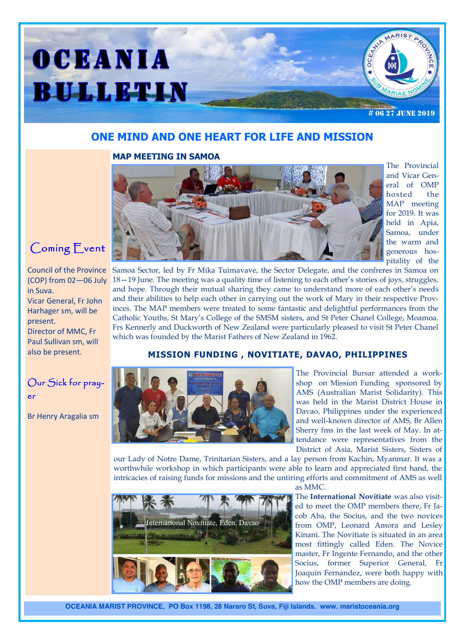

## **ONE MIND AND ONE HEART FOR LIFE AND MISSION**

### **MAP MEETING IN SAMOA**



The Provincial and Vicar General of OMP hosted the MAP meeting for 2019. It was held in Apia, Samoa, under the warm and generous hospitality of the

Coming Event

#### Council of the Province (COP) from 02—06 July in Suva.

Vicar General, Fr John Harhager sm, will be present.

Director of MMC, Fr Paul Sullivan sm, will also be present.

# Our Sick for prayer

Br Henry Aragalia sm

Samoa Sector, led by Fr Mika Tuimavave, the Sector Delegate, and the confreres in Samoa on 18—19 June. The meeting was a quality time of listening to each other's stories of joys, struggles, and hope. Through their mutual sharing they came to understand more of each other's needs and their abilities to help each other in carrying out the work of Mary in their respective Provinces. The MAP members were treated to some fantastic and delightful performances from the Catholic Youths, St Mary's College of the SMSM sisters, and St Peter Chanel College, Moamoa. Frs Kennerly and Duckworth of New Zealand were particularly pleased to visit St Peter Chanel which was founded by the Marist Fathers of New Zealand in 1962.

### **MISSION FUNDING , NOVITIATE, DAVAO, PHILIPPINES**



The Provincial Bursar attended a workshop on Mission Funding sponsored by AMS (Australian Marist Solidarity). This was held in the Marist District House in Davao, Philippines under the experienced and well-known director of AMS, Br Allen Sherry fms in the last week of May. In attendance were representatives from the District of Asia, Marist Sisters, Sisters of

our Lady of Notre Dame, Trinitarian Sisters, and a lay person from Kachin, Myanmar. It was a worthwhile workshop in which participants were able to learn and appreciated first hand, the intricacies of raising funds for missions and the untiring efforts and commitment of AMS as well



The **International Novitiate** was also visited to meet the OMP members there, Fr Jacob Aba, the Socius, and the two novices from OMP, Leonard Amora and Lesley Kinani. The Novitiate is situated in an area most fittingly called Eden. The Novice master, Fr Ingente Fernando, and the other Socius, former Superior General, Fr Joaquin Fernandez, were both happy with how the OMP members are doing.



International Novitiate, Eden, Davao

**OCEANIA MARIST PROVINCE, PO Box 1198, 28 Nararo St, Suva, Fiji Islands. www. maristoceania.org**